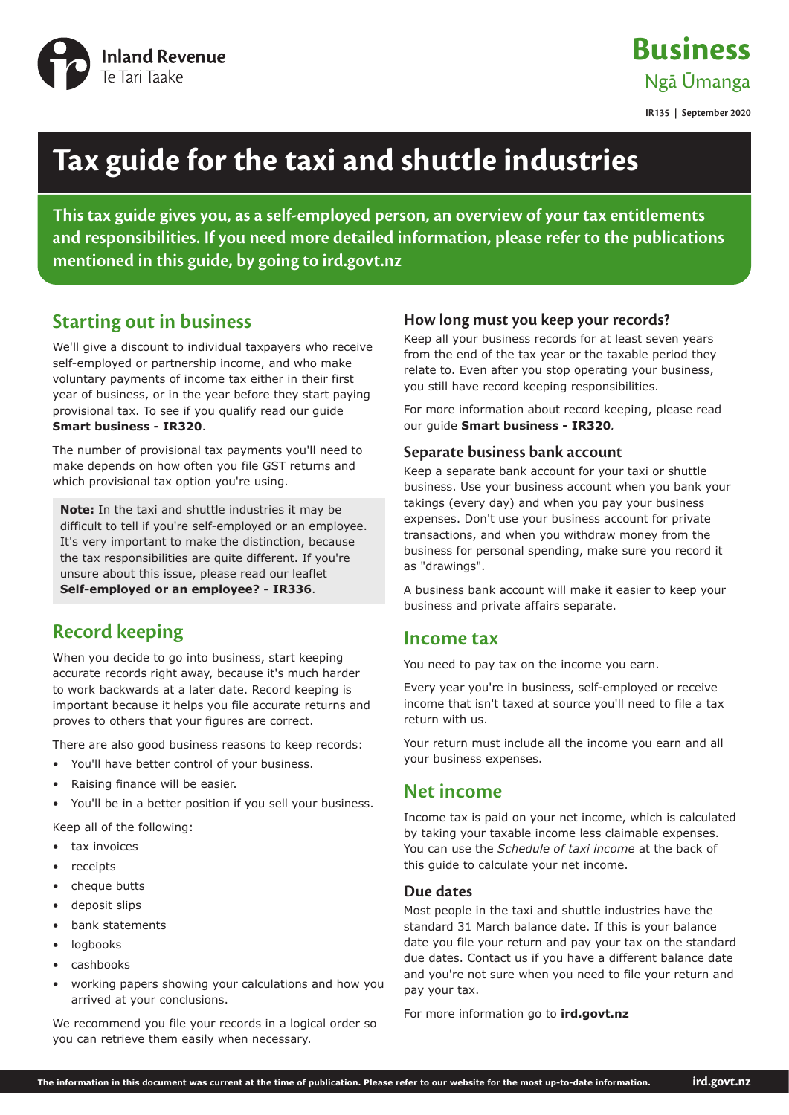

**Business** Ngā Ūmanga

**IR135 | September 2020**

# **Tax guide for the taxi and shuttle industries**

**This tax guide gives you, as a self-employed person, an overview of your tax entitlements and responsibilities. If you need more detailed information, please refer to the publications mentioned in this guide, by going to ird.govt.nz**

# **Starting out in business**

We'll give a discount to individual taxpayers who receive self-employed or partnership income, and who make voluntary payments of income tax either in their first year of business, or in the year before they start paying provisional tax. To see if you qualify read our guide **Smart business - IR320**.

The number of provisional tax payments you'll need to make depends on how often you file GST returns and which provisional tax option you're using.

**Note:** In the taxi and shuttle industries it may be difficult to tell if you're self-employed or an employee. It's very important to make the distinction, because the tax responsibilities are quite different. If you're unsure about this issue, please read our leaflet **Self-employed or an employee? - IR336**.

# **Record keeping**

When you decide to go into business, start keeping accurate records right away, because it's much harder to work backwards at a later date. Record keeping is important because it helps you file accurate returns and proves to others that your figures are correct.

There are also good business reasons to keep records:

- You'll have better control of your business.
- Raising finance will be easier.
- You'll be in a better position if you sell your business.

Keep all of the following:

- tax invoices
- receipts
- cheque butts
- deposit slips
- bank statements
- logbooks
- cashbooks
- working papers showing your calculations and how you arrived at your conclusions.

We recommend you file your records in a logical order so you can retrieve them easily when necessary.

### **How long must you keep your records?**

Keep all your business records for at least seven years from the end of the tax year or the taxable period they relate to. Even after you stop operating your business, you still have record keeping responsibilities.

For more information about record keeping, please read our guide **Smart business - IR320***.*

#### **Separate business bank account**

Keep a separate bank account for your taxi or shuttle business. Use your business account when you bank your takings (every day) and when you pay your business expenses. Don't use your business account for private transactions, and when you withdraw money from the business for personal spending, make sure you record it as "drawings".

A business bank account will make it easier to keep your business and private affairs separate.

# **Income tax**

You need to pay tax on the income you earn.

Every year you're in business, self-employed or receive income that isn't taxed at source you'll need to file a tax return with us.

Your return must include all the income you earn and all your business expenses.

# **Net income**

Income tax is paid on your net income, which is calculated by taking your taxable income less claimable expenses. You can use the *Schedule of taxi income* at the back of this guide to calculate your net income.

### **Due dates**

Most people in the taxi and shuttle industries have the standard 31 March balance date. If this is your balance date you file your return and pay your tax on the standard due dates. Contact us if you have a different balance date and you're not sure when you need to file your return and pay your tax.

For more information go to **ird.govt.nz**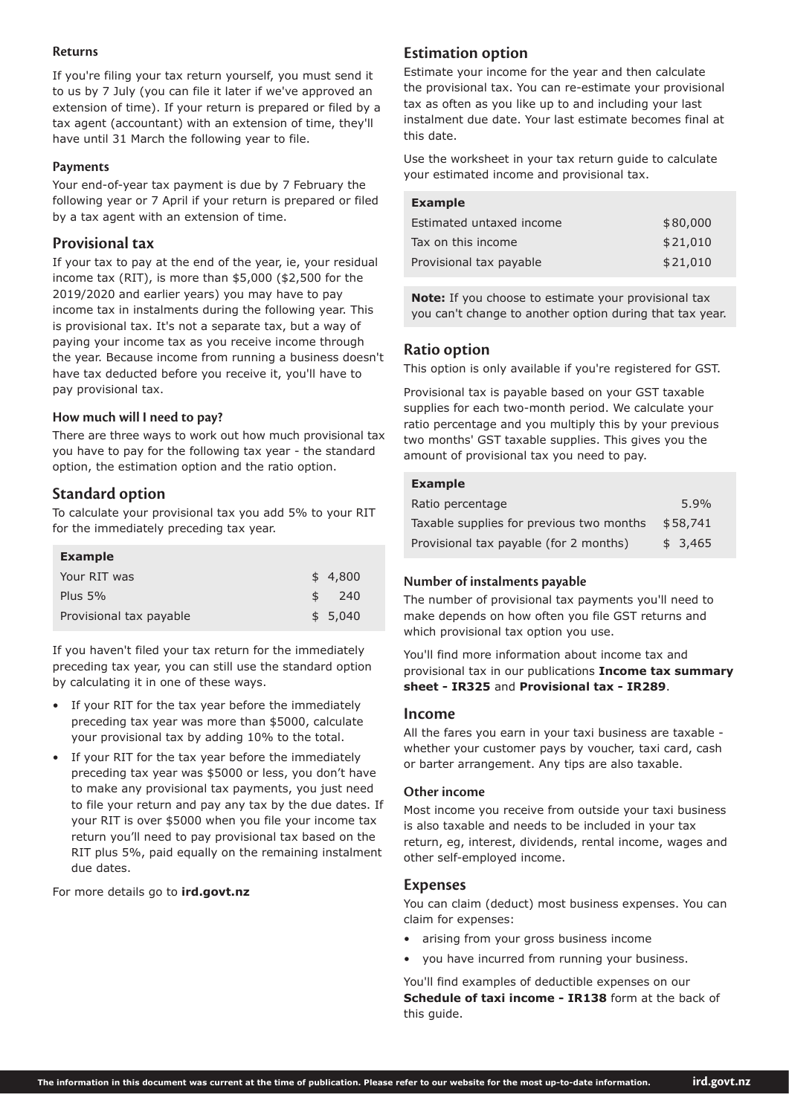#### **Returns**

If you're filing your tax return yourself, you must send it to us by 7 July (you can file it later if we've approved an extension of time). If your return is prepared or filed by a tax agent (accountant) with an extension of time, they'll have until 31 March the following year to file.

#### **Payments**

Your end-of-year tax payment is due by 7 February the following year or 7 April if your return is prepared or filed by a tax agent with an extension of time.

# **Provisional tax**

If your tax to pay at the end of the year, ie, your residual income tax (RIT), is more than \$5,000 (\$2,500 for the 2019/2020 and earlier years) you may have to pay income tax in instalments during the following year. This is provisional tax. It's not a separate tax, but a way of paying your income tax as you receive income through the year. Because income from running a business doesn't have tax deducted before you receive it, you'll have to pay provisional tax.

### **How much will I need to pay?**

There are three ways to work out how much provisional tax you have to pay for the following tax year - the standard option, the estimation option and the ratio option.

# **Standard option**

To calculate your provisional tax you add 5% to your RIT for the immediately preceding tax year.

#### **Example**

| Your RIT was            | \$4,800         |
|-------------------------|-----------------|
| Plus $5\%$              | $\frac{1}{240}$ |
| Provisional tax payable | \$5,040         |

If you haven't filed your tax return for the immediately preceding tax year, you can still use the standard option by calculating it in one of these ways.

- If your RIT for the tax year before the immediately preceding tax year was more than \$5000, calculate your provisional tax by adding 10% to the total.
- If your RIT for the tax year before the immediately preceding tax year was \$5000 or less, you don't have to make any provisional tax payments, you just need to file your return and pay any tax by the due dates. If your RIT is over \$5000 when you file your income tax return you'll need to pay provisional tax based on the RIT plus 5%, paid equally on the remaining instalment due dates.

For more details go to **ird.govt.nz**

### **Estimation option**

Estimate your income for the year and then calculate the provisional tax. You can re-estimate your provisional tax as often as you like up to and including your last instalment due date. Your last estimate becomes final at this date.

Use the worksheet in your tax return guide to calculate your estimated income and provisional tax.

#### **Example**

| \$80,000 |
|----------|
| \$21.010 |
| \$21.010 |
|          |

**Note:** If you choose to estimate your provisional tax you can't change to another option during that tax year.

### **Ratio option**

This option is only available if you're registered for GST.

Provisional tax is payable based on your GST taxable supplies for each two-month period. We calculate your ratio percentage and you multiply this by your previous two months' GST taxable supplies. This gives you the amount of provisional tax you need to pay.

#### **Example**

| Ratio percentage                         | 5.9%     |
|------------------------------------------|----------|
| Taxable supplies for previous two months | \$58,741 |
| Provisional tax payable (for 2 months)   | \$3,465  |

#### **Number of instalments payable**

The number of provisional tax payments you'll need to make depends on how often you file GST returns and which provisional tax option you use.

You'll find more information about income tax and provisional tax in our publications **Income tax summary sheet - IR325** and **Provisional tax - IR289**.

#### **Income**

All the fares you earn in your taxi business are taxable whether your customer pays by voucher, taxi card, cash or barter arrangement. Any tips are also taxable.

#### **Other income**

Most income you receive from outside your taxi business is also taxable and needs to be included in your tax return, eg, interest, dividends, rental income, wages and other self-employed income.

#### **Expenses**

You can claim (deduct) most business expenses. You can claim for expenses:

- arising from your gross business income
- you have incurred from running your business.

You'll find examples of deductible expenses on our **Schedule of taxi income - IR138** form at the back of this guide.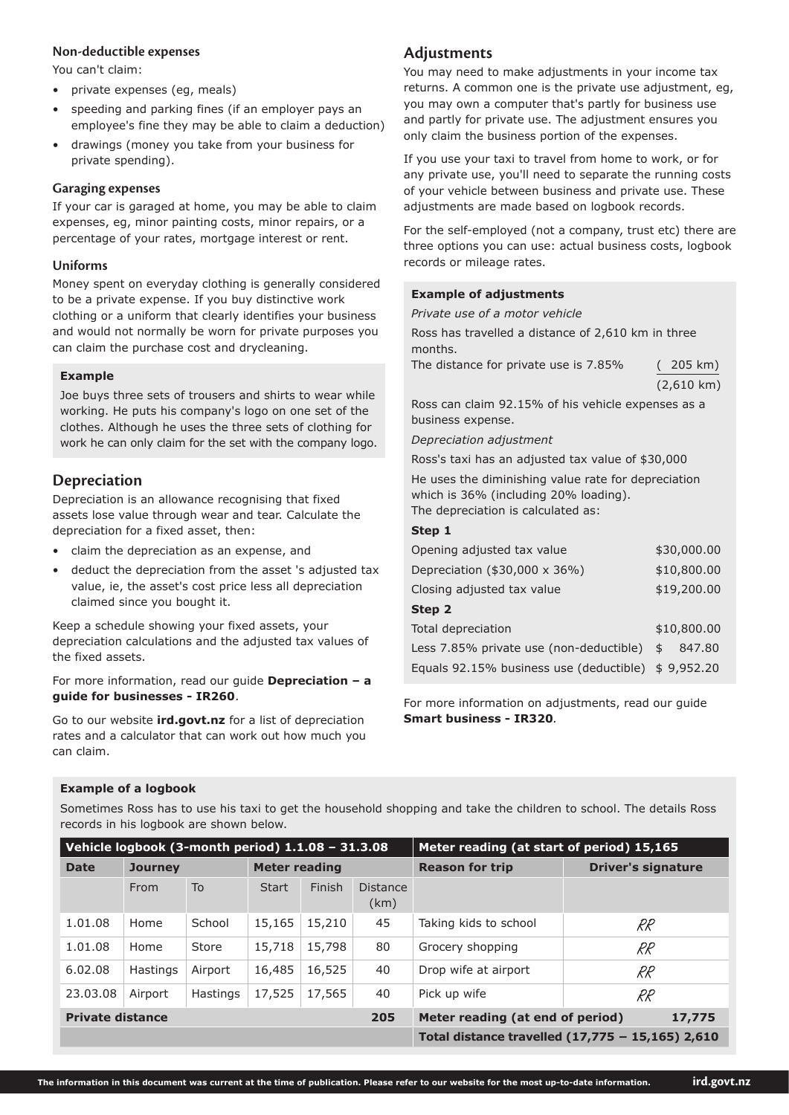#### **Non-deductible expenses**

You can't claim:

- private expenses (eg, meals)
- speeding and parking fines (if an employer pays an employee's fine they may be able to claim a deduction)
- drawings (money you take from your business for private spending).

#### **Garaging expenses**

If your car is garaged at home, you may be able to claim expenses, eg, minor painting costs, minor repairs, or a percentage of your rates, mortgage interest or rent.

#### **Uniforms**

Money spent on everyday clothing is generally considered to be a private expense. If you buy distinctive work clothing or a uniform that clearly identifies your business and would not normally be worn for private purposes you can claim the purchase cost and drycleaning.

#### **Example**

Joe buys three sets of trousers and shirts to wear while working. He puts his company's logo on one set of the clothes. Although he uses the three sets of clothing for work he can only claim for the set with the company logo.

### **Depreciation**

Depreciation is an allowance recognising that fixed assets lose value through wear and tear. Calculate the depreciation for a fixed asset, then:

- claim the depreciation as an expense, and
- deduct the depreciation from the asset 's adjusted tax value, ie, the asset's cost price less all depreciation claimed since you bought it.

Keep a schedule showing your fixed assets, your depreciation calculations and the adjusted tax values of the fixed assets.

#### For more information, read our guide **Depreciation – a guide for businesses - IR260**.

Go to our website **ird.govt.nz** for a list of depreciation rates and a calculator that can work out how much you can claim.

### **Adjustments**

You may need to make adjustments in your income tax returns. A common one is the private use adjustment, eg, you may own a computer that's partly for business use and partly for private use. The adjustment ensures you only claim the business portion of the expenses.

If you use your taxi to travel from home to work, or for any private use, you'll need to separate the running costs of your vehicle between business and private use. These adjustments are made based on logbook records.

For the self-employed (not a company, trust etc) there are three options you can use: actual business costs, logbook records or mileage rates.

#### **Example of adjustments**

*Private use of a motor vehicle*

| Ross has travelled a distance of 2,610 km in three |          |
|----------------------------------------------------|----------|
| months.                                            |          |
| The distance for private use is 7.85%              | (205 km) |

(2,610 km)

Ross can claim 92.15% of his vehicle expenses as a business expense.

*Depreciation adjustment*

Ross's taxi has an adjusted tax value of \$30,000

He uses the diminishing value rate for depreciation which is 36% (including 20% loading). The depreciation is calculated as:

#### **Step 1**

| Opening adjusted tax value                         | \$30,000.00 |
|----------------------------------------------------|-------------|
|                                                    |             |
| Depreciation (\$30,000 x 36%)                      | \$10,800.00 |
| Closing adjusted tax value                         | \$19,200.00 |
| Step 2                                             |             |
| Total depreciation                                 | \$10,800.00 |
| Less 7.85% private use (non-deductible) \$         | 847.80      |
| Equals 92.15% business use (deductible) \$9,952.20 |             |

For more information on adjustments, read our guide **Smart business - IR320***.*

#### **Example of a logbook**

Sometimes Ross has to use his taxi to get the household shopping and take the children to school. The details Ross records in his logbook are shown below.

|                         | Vehicle logbook (3-month period) 1.1.08 - 31.3.08 |                 |                      |        |                         | Meter reading (at start of period) 15,165 |                                                  |  |
|-------------------------|---------------------------------------------------|-----------------|----------------------|--------|-------------------------|-------------------------------------------|--------------------------------------------------|--|
| <b>Date</b>             | <b>Journey</b>                                    |                 | <b>Meter reading</b> |        |                         | <b>Reason for trip</b>                    | <b>Driver's signature</b>                        |  |
|                         | From                                              | To              | <b>Start</b>         | Finish | <b>Distance</b><br>(km) |                                           |                                                  |  |
| 1.01.08                 | Home                                              | School          | 15,165               | 15,210 | 45                      | Taking kids to school                     | RR                                               |  |
| 1.01.08                 | Home                                              | Store           | 15,718               | 15,798 | 80                      | Grocery shopping                          | RR                                               |  |
| 6.02.08                 | <b>Hastings</b>                                   | Airport         | 16,485               | 16,525 | 40                      | Drop wife at airport                      | RR                                               |  |
| 23.03.08                | Airport                                           | <b>Hastings</b> | 17,525               | 17,565 | 40                      | Pick up wife                              | RR                                               |  |
| <b>Private distance</b> |                                                   |                 |                      |        | 205                     | Meter reading (at end of period)          | 17,775                                           |  |
|                         |                                                   |                 |                      |        |                         |                                           | Total distance travelled (17,775 - 15,165) 2,610 |  |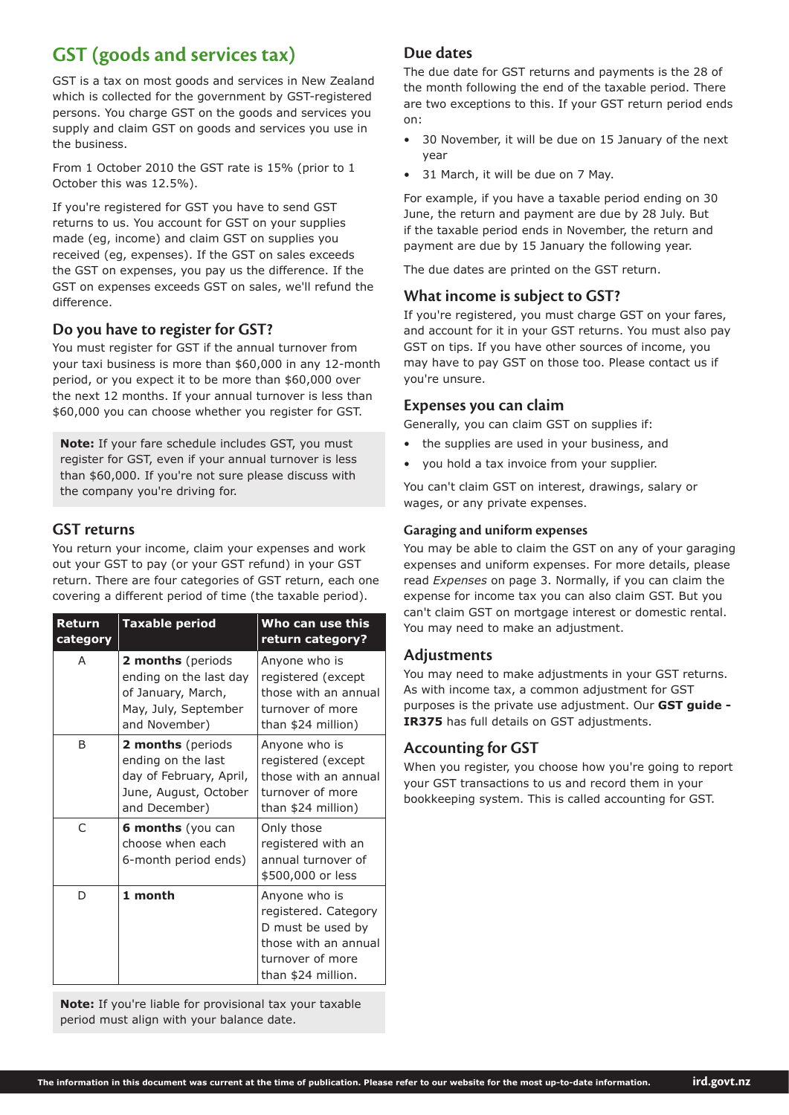# **GST (goods and services tax)**

GST is a tax on most goods and services in New Zealand which is collected for the government by GST-registered persons. You charge GST on the goods and services you supply and claim GST on goods and services you use in the business.

From 1 October 2010 the GST rate is 15% (prior to 1 October this was 12.5%).

If you're registered for GST you have to send GST returns to us. You account for GST on your supplies made (eg, income) and claim GST on supplies you received (eg, expenses). If the GST on sales exceeds the GST on expenses, you pay us the difference. If the GST on expenses exceeds GST on sales, we'll refund the difference.

# **Do you have to register for GST?**

You must register for GST if the annual turnover from your taxi business is more than \$60,000 in any 12-month period, or you expect it to be more than \$60,000 over the next 12 months. If your annual turnover is less than \$60,000 you can choose whether you register for GST.

**Note:** If your fare schedule includes GST, you must register for GST, even if your annual turnover is less than \$60,000. If you're not sure please discuss with the company you're driving for.

# **GST returns**

You return your income, claim your expenses and work out your GST to pay (or your GST refund) in your GST return. There are four categories of GST return, each one covering a different period of time (the taxable period).

| Return<br>category | <b>Taxable period</b>                                                                                               | Who can use this<br>return category?                                                                                         |
|--------------------|---------------------------------------------------------------------------------------------------------------------|------------------------------------------------------------------------------------------------------------------------------|
| A                  | 2 months (periods<br>ending on the last day<br>of January, March,<br>May, July, September<br>and November)          | Anyone who is<br>registered (except<br>those with an annual<br>turnover of more<br>than \$24 million)                        |
| B                  | <b>2 months</b> (periods<br>ending on the last<br>day of February, April,<br>June, August, October<br>and December) | Anyone who is<br>registered (except<br>those with an annual<br>turnover of more<br>than \$24 million)                        |
| C                  | <b>6 months</b> (you can<br>choose when each<br>6-month period ends)                                                | Only those<br>registered with an<br>annual turnover of<br>\$500,000 or less                                                  |
| D                  | 1 month                                                                                                             | Anyone who is<br>registered. Category<br>D must be used by<br>those with an annual<br>turnover of more<br>than \$24 million. |

**Note:** If you're liable for provisional tax your taxable period must align with your balance date.

# **Due dates**

The due date for GST returns and payments is the 28 of the month following the end of the taxable period. There are two exceptions to this. If your GST return period ends on:

- 30 November, it will be due on 15 January of the next year
- 31 March, it will be due on 7 May.

For example, if you have a taxable period ending on 30 June, the return and payment are due by 28 July. But if the taxable period ends in November, the return and payment are due by 15 January the following year.

The due dates are printed on the GST return.

# **What income is subject to GST?**

If you're registered, you must charge GST on your fares, and account for it in your GST returns. You must also pay GST on tips. If you have other sources of income, you may have to pay GST on those too. Please contact us if you're unsure.

# **Expenses you can claim**

Generally, you can claim GST on supplies if:

- the supplies are used in your business, and
- you hold a tax invoice from your supplier.

You can't claim GST on interest, drawings, salary or wages, or any private expenses.

### **Garaging and uniform expenses**

You may be able to claim the GST on any of your garaging expenses and uniform expenses. For more details, please read *Expenses* on page 3. Normally, if you can claim the expense for income tax you can also claim GST. But you can't claim GST on mortgage interest or domestic rental. You may need to make an adjustment.

# **Adjustments**

You may need to make adjustments in your GST returns. As with income tax, a common adjustment for GST purposes is the private use adjustment. Our **GST guide - IR375** has full details on GST adjustments.

# **Accounting for GST**

When you register, you choose how you're going to report your GST transactions to us and record them in your bookkeeping system. This is called accounting for GST.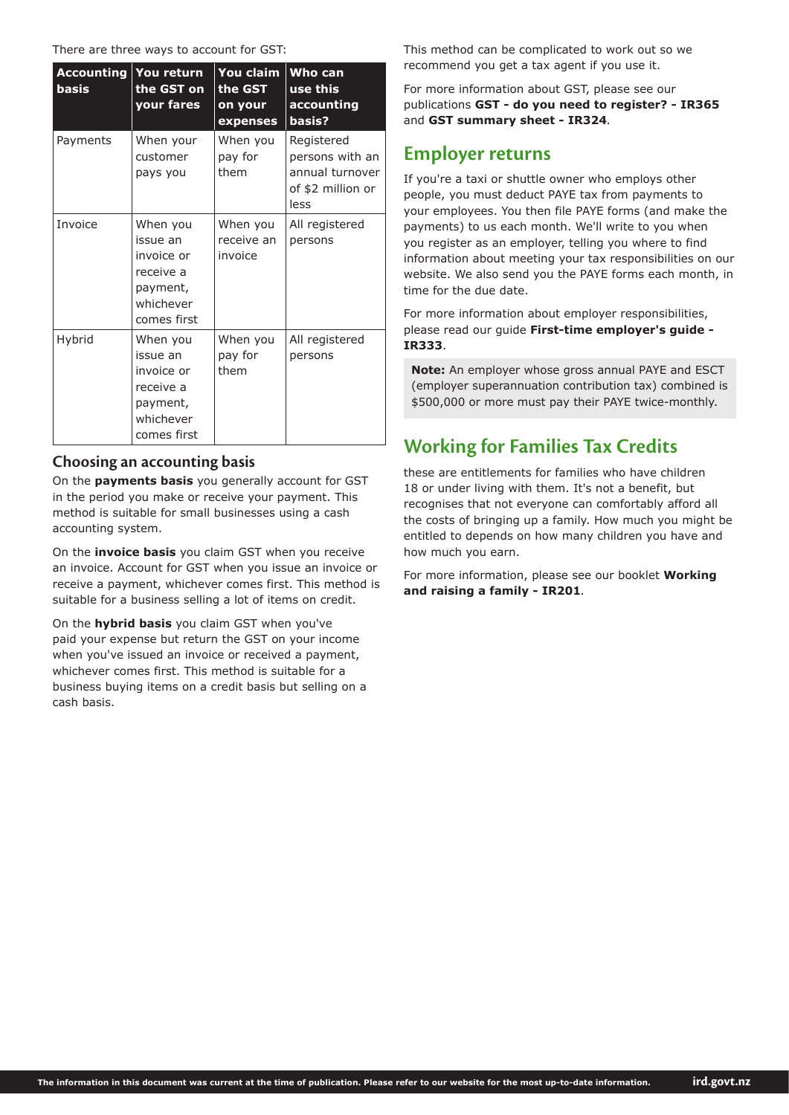| <b>Accounting</b><br><b>basis</b> | You return<br>the GST on<br>your fares                                                  | You claim<br>the GST<br>on your<br>expenses | Who can<br>use this<br>accounting<br>basis?                                   |
|-----------------------------------|-----------------------------------------------------------------------------------------|---------------------------------------------|-------------------------------------------------------------------------------|
| Payments                          | When your<br>customer<br>pays you                                                       | When you<br>pay for<br>them                 | Registered<br>persons with an<br>annual turnover<br>of \$2 million or<br>less |
| Invoice                           | When you<br>issue an<br>invoice or<br>receive a<br>payment,<br>whichever<br>comes first | When you<br>receive an<br>invoice           | All registered<br>persons                                                     |
| Hybrid                            | When you<br>issue an<br>invoice or<br>receive a<br>payment,<br>whichever<br>comes first | When you<br>pay for<br>them                 | All registered<br>persons                                                     |

# **Choosing an accounting basis**

On the **payments basis** you generally account for GST in the period you make or receive your payment. This method is suitable for small businesses using a cash accounting system.

On the **invoice basis** you claim GST when you receive an invoice. Account for GST when you issue an invoice or receive a payment, whichever comes first. This method is suitable for a business selling a lot of items on credit.

On the **hybrid basis** you claim GST when you've paid your expense but return the GST on your income when you've issued an invoice or received a payment, whichever comes first. This method is suitable for a business buying items on a credit basis but selling on a cash basis.

This method can be complicated to work out so we recommend you get a tax agent if you use it.

For more information about GST, please see our publications **GST - do you need to register? - IR365**  and **GST summary sheet - IR324***.*

# **Employer returns**

If you're a taxi or shuttle owner who employs other people, you must deduct PAYE tax from payments to your employees. You then file PAYE forms (and make the payments) to us each month. We'll write to you when you register as an employer, telling you where to find information about meeting your tax responsibilities on our website. We also send you the PAYE forms each month, in time for the due date.

For more information about employer responsibilities, please read our guide **First-time employer's guide - IR333**.

**Note:** An employer whose gross annual PAYE and ESCT (employer superannuation contribution tax) combined is \$500,000 or more must pay their PAYE twice-monthly.

# **Working for Families Tax Credits**

these are entitlements for families who have children 18 or under living with them. It's not a benefit, but recognises that not everyone can comfortably afford all the costs of bringing up a family. How much you might be entitled to depends on how many children you have and how much you earn.

For more information, please see our booklet **Working and raising a family - IR201***.*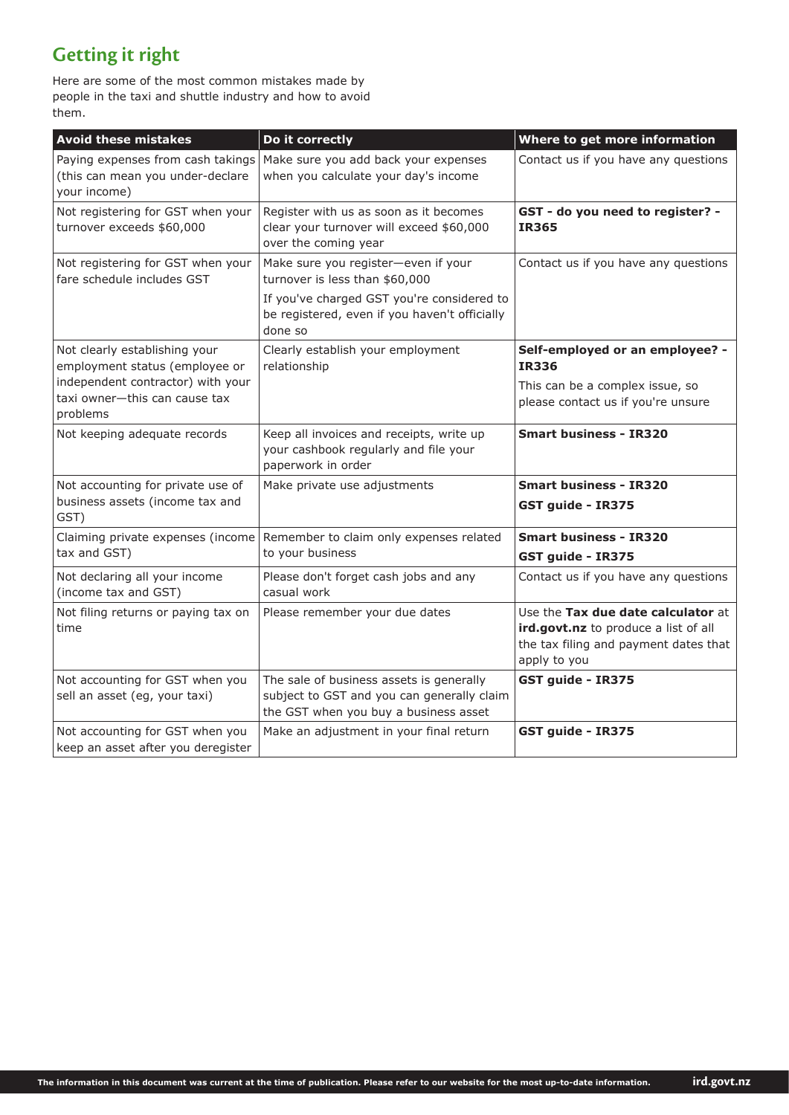# **Getting it right**

Here are some of the most common mistakes made by people in the taxi and shuttle industry and how to avoid them.

| <b>Avoid these mistakes</b>                                                           | Do it correctly                                                                                                                 | Where to get more information                                                                                                       |
|---------------------------------------------------------------------------------------|---------------------------------------------------------------------------------------------------------------------------------|-------------------------------------------------------------------------------------------------------------------------------------|
| Paying expenses from cash takings<br>(this can mean you under-declare<br>your income) | Make sure you add back your expenses<br>when you calculate your day's income                                                    | Contact us if you have any questions                                                                                                |
| Not registering for GST when your<br>turnover exceeds \$60,000                        | Register with us as soon as it becomes<br>clear your turnover will exceed \$60,000<br>over the coming year                      | GST - do you need to register? -<br><b>IR365</b>                                                                                    |
| Not registering for GST when your<br>fare schedule includes GST                       | Make sure you register-even if your<br>turnover is less than \$60,000                                                           | Contact us if you have any questions                                                                                                |
|                                                                                       | If you've charged GST you're considered to<br>be registered, even if you haven't officially<br>done so                          |                                                                                                                                     |
| Not clearly establishing your<br>employment status (employee or                       | Clearly establish your employment<br>relationship                                                                               | Self-employed or an employee? -<br><b>IR336</b>                                                                                     |
| independent contractor) with your<br>taxi owner-this can cause tax<br>problems        |                                                                                                                                 | This can be a complex issue, so<br>please contact us if you're unsure                                                               |
| Not keeping adequate records                                                          | Keep all invoices and receipts, write up<br>your cashbook regularly and file your<br>paperwork in order                         | <b>Smart business - IR320</b>                                                                                                       |
| Not accounting for private use of<br>business assets (income tax and<br>GST)          | Make private use adjustments                                                                                                    | <b>Smart business - IR320</b><br>GST guide - IR375                                                                                  |
| Claiming private expenses (income<br>tax and GST)                                     | Remember to claim only expenses related<br>to your business                                                                     | <b>Smart business - IR320</b><br>GST guide - IR375                                                                                  |
| Not declaring all your income<br>(income tax and GST)                                 | Please don't forget cash jobs and any<br>casual work                                                                            | Contact us if you have any questions                                                                                                |
| Not filing returns or paying tax on<br>time                                           | Please remember your due dates                                                                                                  | Use the Tax due date calculator at<br>ird.govt.nz to produce a list of all<br>the tax filing and payment dates that<br>apply to you |
| Not accounting for GST when you<br>sell an asset (eg, your taxi)                      | The sale of business assets is generally<br>subject to GST and you can generally claim<br>the GST when you buy a business asset | GST guide - IR375                                                                                                                   |
| Not accounting for GST when you<br>keep an asset after you deregister                 | Make an adjustment in your final return                                                                                         | GST guide - IR375                                                                                                                   |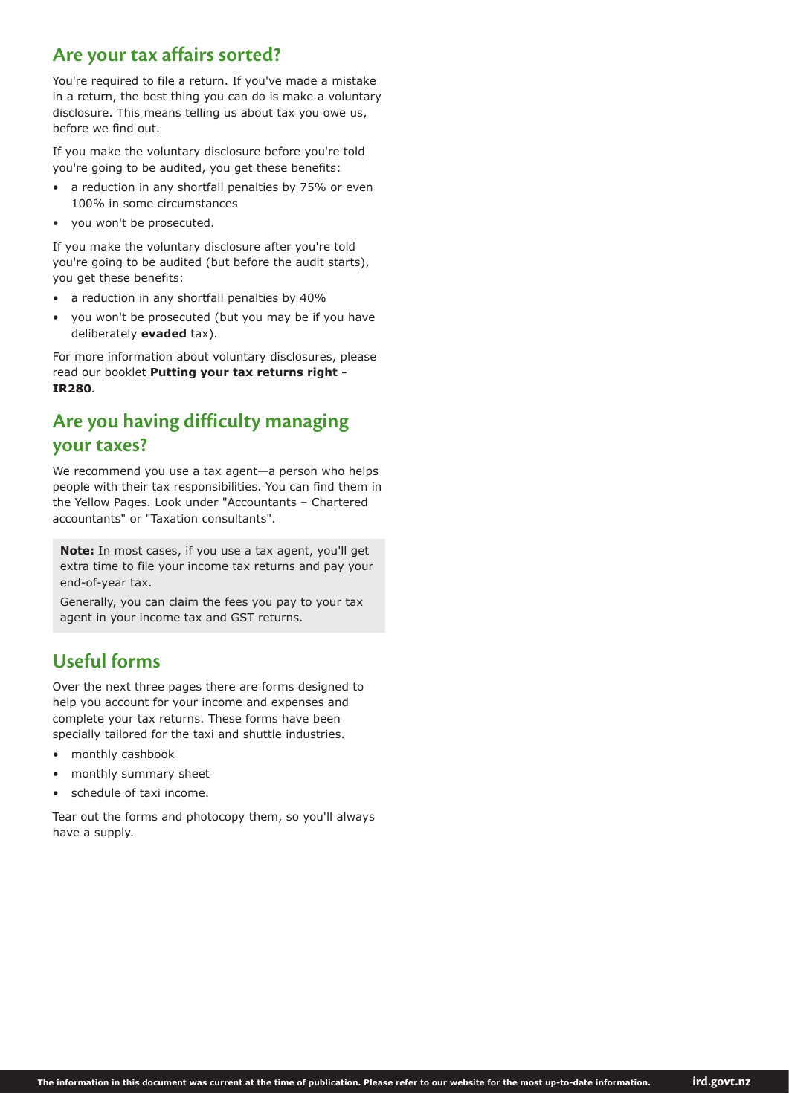# **Are your tax affairs sorted?**

You're required to file a return. If you've made a mistake in a return, the best thing you can do is make a voluntary disclosure. This means telling us about tax you owe us, before we find out.

If you make the voluntary disclosure before you're told you're going to be audited, you get these benefits:

- a reduction in any shortfall penalties by 75% or even 100% in some circumstances
- you won't be prosecuted.

If you make the voluntary disclosure after you're told you're going to be audited (but before the audit starts), you get these benefits:

- a reduction in any shortfall penalties by 40%
- you won't be prosecuted (but you may be if you have deliberately **evaded** tax).

For more information about voluntary disclosures, please read our booklet **Putting your tax returns right - IR280***.*

# **Are you having difficulty managing your taxes?**

We recommend you use a tax agent—a person who helps people with their tax responsibilities. You can find them in the Yellow Pages. Look under "Accountants – Chartered accountants" or "Taxation consultants".

**Note:** In most cases, if you use a tax agent, you'll get extra time to file your income tax returns and pay your end-of-year tax.

Generally, you can claim the fees you pay to your tax agent in your income tax and GST returns.

# **Useful forms**

Over the next three pages there are forms designed to help you account for your income and expenses and complete your tax returns. These forms have been specially tailored for the taxi and shuttle industries.

- monthly cashbook
- monthly summary sheet
- schedule of taxi income.

Tear out the forms and photocopy them, so you'll always have a supply.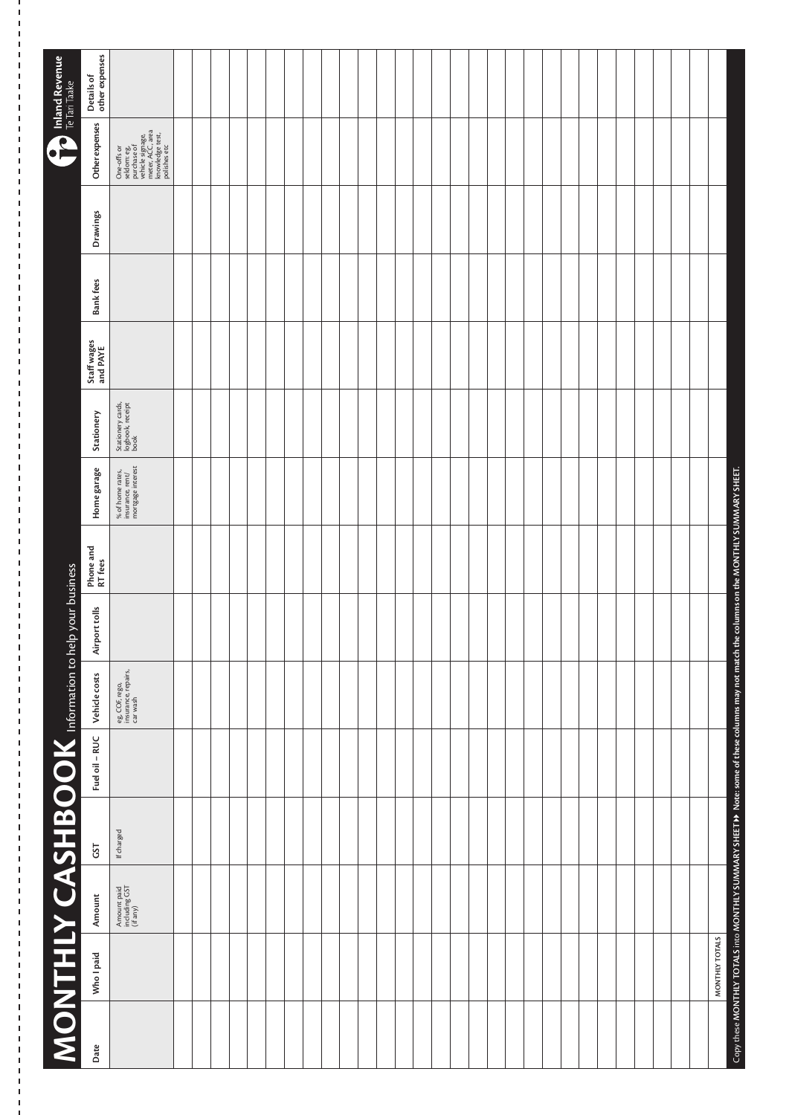| If charged<br>GST<br>Amount paid<br>including GST<br>(if any)<br>Amount |                |                                                   |               |                      |                                                           |                                               |                         |                  |                                                                                                                   |                              |  |
|-------------------------------------------------------------------------|----------------|---------------------------------------------------|---------------|----------------------|-----------------------------------------------------------|-----------------------------------------------|-------------------------|------------------|-------------------------------------------------------------------------------------------------------------------|------------------------------|--|
|                                                                         | Fuel oil - RUC | Vehicle costs                                     | Airport tolls | Phone and<br>RT fees | Home garage                                               | Stationery                                    | Staff wages<br>and PAYE | <b>Bank</b> fees | Other expenses<br>Drawings                                                                                        | Details of<br>other expenses |  |
|                                                                         |                | eg, COF, rego,<br>insurance, repairs,<br>car wash |               |                      | % of home rates,<br>insurance, rent/<br>mortgage interest | Stationery cards,<br>logbook, receipt<br>book |                         |                  | One-offs or<br>seldom: eg,<br>purchase of<br>purchase of<br>whicle signage,<br>knowledge test,<br>knowledge test, |                              |  |
|                                                                         |                |                                                   |               |                      |                                                           |                                               |                         |                  |                                                                                                                   |                              |  |
|                                                                         |                |                                                   |               |                      |                                                           |                                               |                         |                  |                                                                                                                   |                              |  |
|                                                                         |                |                                                   |               |                      |                                                           |                                               |                         |                  |                                                                                                                   |                              |  |
|                                                                         |                |                                                   |               |                      |                                                           |                                               |                         |                  |                                                                                                                   |                              |  |
|                                                                         |                |                                                   |               |                      |                                                           |                                               |                         |                  |                                                                                                                   |                              |  |
|                                                                         |                |                                                   |               |                      |                                                           |                                               |                         |                  |                                                                                                                   |                              |  |
|                                                                         |                |                                                   |               |                      |                                                           |                                               |                         |                  |                                                                                                                   |                              |  |
|                                                                         |                |                                                   |               |                      |                                                           |                                               |                         |                  |                                                                                                                   |                              |  |
|                                                                         |                |                                                   |               |                      |                                                           |                                               |                         |                  |                                                                                                                   |                              |  |
|                                                                         |                |                                                   |               |                      |                                                           |                                               |                         |                  |                                                                                                                   |                              |  |
|                                                                         |                |                                                   |               |                      |                                                           |                                               |                         |                  |                                                                                                                   |                              |  |
|                                                                         |                |                                                   |               |                      |                                                           |                                               |                         |                  |                                                                                                                   |                              |  |
|                                                                         |                |                                                   |               |                      |                                                           |                                               |                         |                  |                                                                                                                   |                              |  |
|                                                                         |                |                                                   |               |                      |                                                           |                                               |                         |                  |                                                                                                                   |                              |  |
|                                                                         |                |                                                   |               |                      |                                                           |                                               |                         |                  |                                                                                                                   |                              |  |
|                                                                         |                |                                                   |               |                      |                                                           |                                               |                         |                  |                                                                                                                   |                              |  |
|                                                                         |                |                                                   |               |                      |                                                           |                                               |                         |                  |                                                                                                                   |                              |  |
|                                                                         |                |                                                   |               |                      |                                                           |                                               |                         |                  |                                                                                                                   |                              |  |
|                                                                         |                |                                                   |               |                      |                                                           |                                               |                         |                  |                                                                                                                   |                              |  |
|                                                                         |                |                                                   |               |                      |                                                           |                                               |                         |                  |                                                                                                                   |                              |  |
|                                                                         |                |                                                   |               |                      |                                                           |                                               |                         |                  |                                                                                                                   |                              |  |
|                                                                         |                |                                                   |               |                      |                                                           |                                               |                         |                  |                                                                                                                   |                              |  |
|                                                                         |                |                                                   |               |                      |                                                           |                                               |                         |                  |                                                                                                                   |                              |  |
|                                                                         |                |                                                   |               |                      |                                                           |                                               |                         |                  |                                                                                                                   |                              |  |
|                                                                         |                |                                                   |               |                      |                                                           |                                               |                         |                  |                                                                                                                   |                              |  |
|                                                                         |                |                                                   |               |                      |                                                           |                                               |                         |                  |                                                                                                                   |                              |  |
|                                                                         |                |                                                   |               |                      |                                                           |                                               |                         |                  |                                                                                                                   |                              |  |
|                                                                         |                |                                                   |               |                      |                                                           |                                               |                         |                  |                                                                                                                   |                              |  |
|                                                                         |                |                                                   |               |                      |                                                           |                                               |                         |                  |                                                                                                                   |                              |  |
|                                                                         |                |                                                   |               |                      |                                                           |                                               |                         |                  |                                                                                                                   |                              |  |

 $\overline{1}$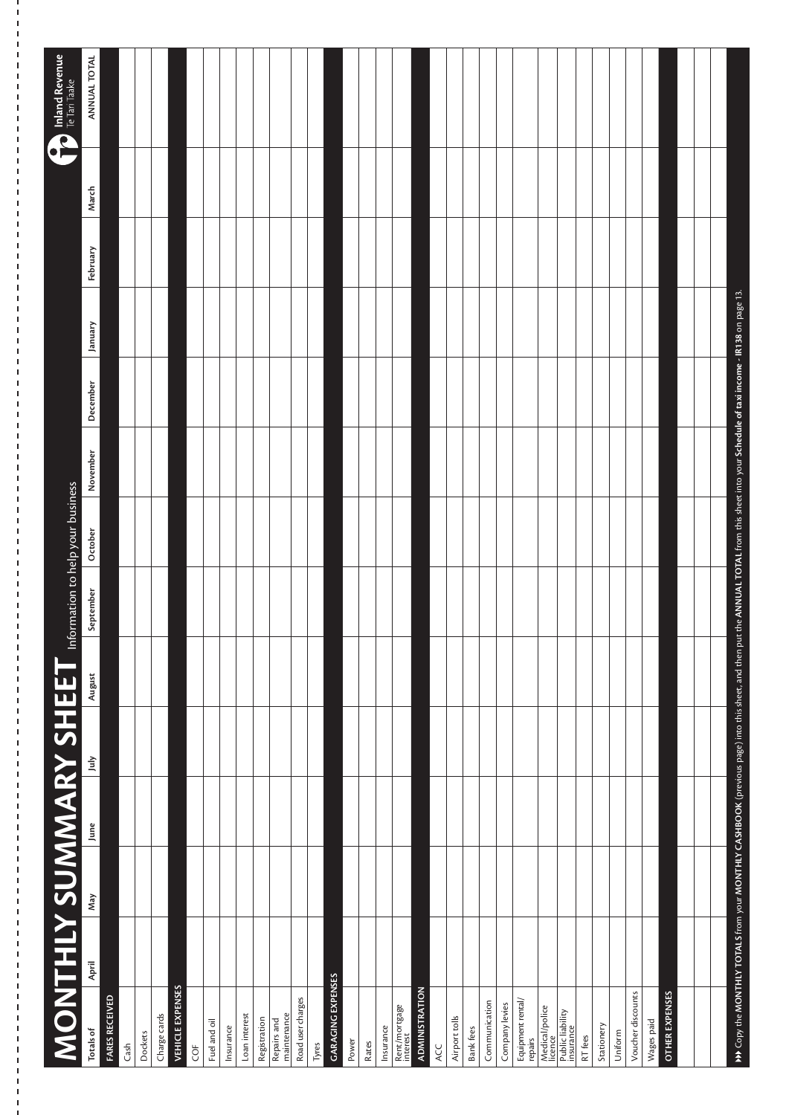| <b>MONTHLY SUMMARY SHEET</b>                                                                                                                                                                                 |     |         |      |        |           | formation to help your business |          |          |         |          |       | Inland Revenue |
|--------------------------------------------------------------------------------------------------------------------------------------------------------------------------------------------------------------|-----|---------|------|--------|-----------|---------------------------------|----------|----------|---------|----------|-------|----------------|
| April<br>Totals of                                                                                                                                                                                           | May | $J$ une | July | August | September | October                         | November | December | January | February | March | ANNUAL TOTAL   |
| <b>FARES RECEIVED</b>                                                                                                                                                                                        |     |         |      |        |           |                                 |          |          |         |          |       |                |
| Cash                                                                                                                                                                                                         |     |         |      |        |           |                                 |          |          |         |          |       |                |
| Dockets                                                                                                                                                                                                      |     |         |      |        |           |                                 |          |          |         |          |       |                |
| Charge cards                                                                                                                                                                                                 |     |         |      |        |           |                                 |          |          |         |          |       |                |
| <b>VEHICLE EXPENSES</b>                                                                                                                                                                                      |     |         |      |        |           |                                 |          |          |         |          |       |                |
| COF                                                                                                                                                                                                          |     |         |      |        |           |                                 |          |          |         |          |       |                |
| Fuel and oil                                                                                                                                                                                                 |     |         |      |        |           |                                 |          |          |         |          |       |                |
| Insurance                                                                                                                                                                                                    |     |         |      |        |           |                                 |          |          |         |          |       |                |
| Loan interest                                                                                                                                                                                                |     |         |      |        |           |                                 |          |          |         |          |       |                |
| Registration                                                                                                                                                                                                 |     |         |      |        |           |                                 |          |          |         |          |       |                |
| maintenance<br>Repairs and                                                                                                                                                                                   |     |         |      |        |           |                                 |          |          |         |          |       |                |
| Road user charges                                                                                                                                                                                            |     |         |      |        |           |                                 |          |          |         |          |       |                |
| Tyres                                                                                                                                                                                                        |     |         |      |        |           |                                 |          |          |         |          |       |                |
| <b>GARAGING EXPENSES</b>                                                                                                                                                                                     |     |         |      |        |           |                                 |          |          |         |          |       |                |
| Power                                                                                                                                                                                                        |     |         |      |        |           |                                 |          |          |         |          |       |                |
| Rates                                                                                                                                                                                                        |     |         |      |        |           |                                 |          |          |         |          |       |                |
| Insurance                                                                                                                                                                                                    |     |         |      |        |           |                                 |          |          |         |          |       |                |
| Rent/mortgage<br>interest                                                                                                                                                                                    |     |         |      |        |           |                                 |          |          |         |          |       |                |
| ADMINISTRATION                                                                                                                                                                                               |     |         |      |        |           |                                 |          |          |         |          |       |                |
| ACC                                                                                                                                                                                                          |     |         |      |        |           |                                 |          |          |         |          |       |                |
| Airport tolls                                                                                                                                                                                                |     |         |      |        |           |                                 |          |          |         |          |       |                |
| <b>Bank</b> fees                                                                                                                                                                                             |     |         |      |        |           |                                 |          |          |         |          |       |                |
| Communication                                                                                                                                                                                                |     |         |      |        |           |                                 |          |          |         |          |       |                |
| Company levies                                                                                                                                                                                               |     |         |      |        |           |                                 |          |          |         |          |       |                |
| Equipment rental/<br>repairs                                                                                                                                                                                 |     |         |      |        |           |                                 |          |          |         |          |       |                |
| Medical/police<br>licence                                                                                                                                                                                    |     |         |      |        |           |                                 |          |          |         |          |       |                |
| Public liability<br>insurance                                                                                                                                                                                |     |         |      |        |           |                                 |          |          |         |          |       |                |
| RT fees                                                                                                                                                                                                      |     |         |      |        |           |                                 |          |          |         |          |       |                |
| Stationery                                                                                                                                                                                                   |     |         |      |        |           |                                 |          |          |         |          |       |                |
| Uniform                                                                                                                                                                                                      |     |         |      |        |           |                                 |          |          |         |          |       |                |
| Voucher discounts                                                                                                                                                                                            |     |         |      |        |           |                                 |          |          |         |          |       |                |
| Wages paid                                                                                                                                                                                                   |     |         |      |        |           |                                 |          |          |         |          |       |                |
| <b>OTHER EXPENSES</b>                                                                                                                                                                                        |     |         |      |        |           |                                 |          |          |         |          |       |                |
|                                                                                                                                                                                                              |     |         |      |        |           |                                 |          |          |         |          |       |                |
|                                                                                                                                                                                                              |     |         |      |        |           |                                 |          |          |         |          |       |                |
|                                                                                                                                                                                                              |     |         |      |        |           |                                 |          |          |         |          |       |                |
| <b>&gt;&gt;&gt; C</b> opy the MONTHLY TOTALS from your MONTHLY CASHBOOK (previous page) into this sheet, and then put the ANNUAL TOTAL from this sheet into your Schedule of taxi income - IR138 on page 13. |     |         |      |        |           |                                 |          |          |         |          |       |                |